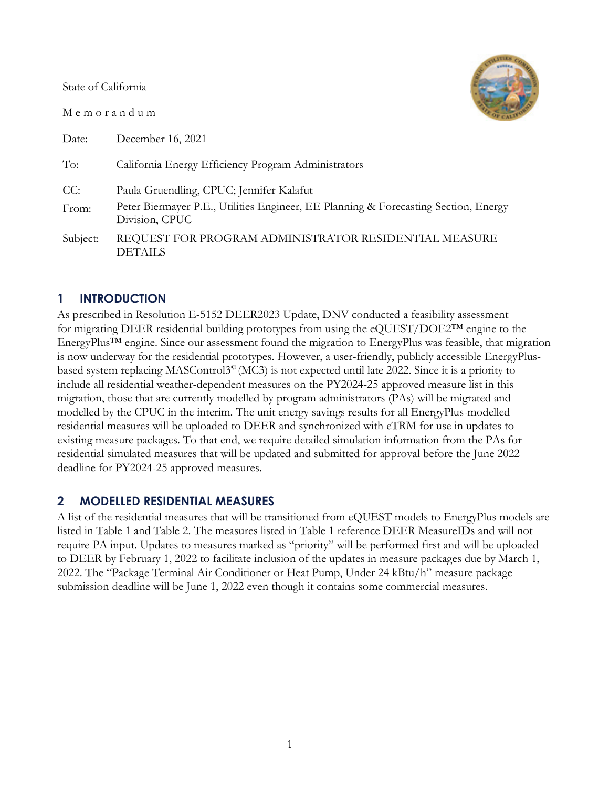State of California

M e m o r a n d u m



| Date:    | December 16, 2021                                                                                     |
|----------|-------------------------------------------------------------------------------------------------------|
| To:      | California Energy Efficiency Program Administrators                                                   |
| CC:      | Paula Gruendling, CPUC; Jennifer Kalafut                                                              |
| From:    | Peter Biermayer P.E., Utilities Engineer, EE Planning & Forecasting Section, Energy<br>Division, CPUC |
| Subject: | REQUEST FOR PROGRAM ADMINISTRATOR RESIDENTIAL MEASURE<br><b>DETAILS</b>                               |

# **1 INTRODUCTION**

As prescribed in Resolution E-5152 DEER2023 Update, DNV conducted a feasibility assessment for migrating DEER residential building prototypes from using the eQUEST/DOE2™ engine to the EnergyPlus™ engine. Since our assessment found the migration to EnergyPlus was feasible, that migration is now underway for the residential prototypes. However, a user-friendly, publicly accessible EnergyPlusbased system replacing MASControl3© (MC3) is not expected until late 2022. Since it is a priority to include all residential weather-dependent measures on the PY2024-25 approved measure list in this migration, those that are currently modelled by program administrators (PAs) will be migrated and modelled by the CPUC in the interim. The unit energy savings results for all EnergyPlus-modelled residential measures will be uploaded to DEER and synchronized with eTRM for use in updates to existing measure packages. To that end, we require detailed simulation information from the PAs for residential simulated measures that will be updated and submitted for approval before the June 2022 deadline for PY2024-25 approved measures.

### **2 MODELLED RESIDENTIAL MEASURES**

A list of the residential measures that will be transitioned from eQUEST models to EnergyPlus models are listed in [Table 1](#page-1-0) and [Table 2.](#page-1-1) The measures listed in [Table 1](#page-1-0) reference DEER MeasureIDs and will not require PA input. Updates to measures marked as "priority" will be performed first and will be uploaded to DEER by February 1, 2022 to facilitate inclusion of the updates in measure packages due by March 1, 2022. The "Package Terminal Air Conditioner or Heat Pump, Under 24 kBtu/h" measure package submission deadline will be June 1, 2022 even though it contains some commercial measures.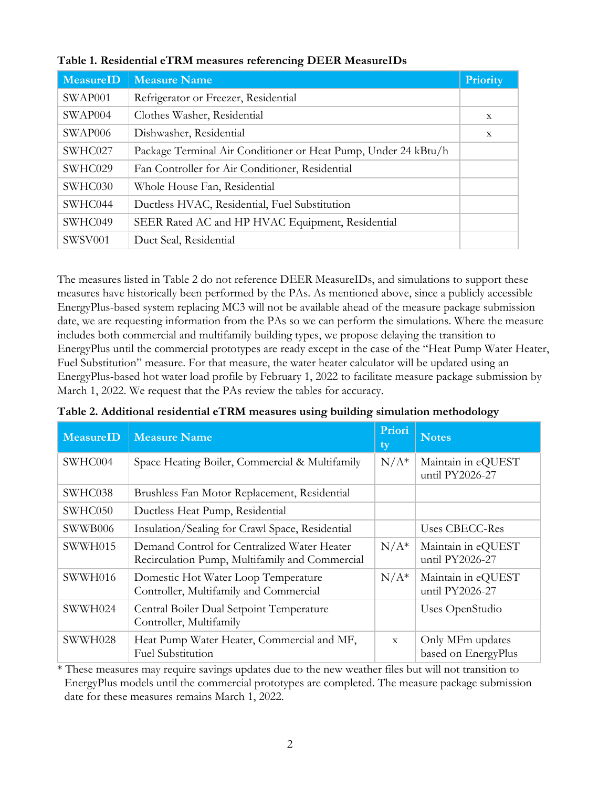| MeasureID | <b>Measure Name</b>                                            | <b>Priority</b> |
|-----------|----------------------------------------------------------------|-----------------|
| SWAP001   | Refrigerator or Freezer, Residential                           |                 |
| SWAP004   | Clothes Washer, Residential                                    | $\mathbf X$     |
| SWAP006   | Dishwasher, Residential                                        | $\mathbf X$     |
| SWHC027   | Package Terminal Air Conditioner or Heat Pump, Under 24 kBtu/h |                 |
| SWHC029   | Fan Controller for Air Conditioner, Residential                |                 |
| SWHC030   | Whole House Fan, Residential                                   |                 |
| SWHC044   | Ductless HVAC, Residential, Fuel Substitution                  |                 |
| SWHC049   | SEER Rated AC and HP HVAC Equipment, Residential               |                 |
| SWSV001   | Duct Seal, Residential                                         |                 |

<span id="page-1-0"></span>**Table 1. Residential eTRM measures referencing DEER MeasureIDs**

The measures listed in [Table 2](#page-1-1) do not reference DEER MeasureIDs, and simulations to support these measures have historically been performed by the PAs. As mentioned above, since a publicly accessible EnergyPlus-based system replacing MC3 will not be available ahead of the measure package submission date, we are requesting information from the PAs so we can perform the simulations. Where the measure includes both commercial and multifamily building types, we propose delaying the transition to EnergyPlus until the commercial prototypes are ready except in the case of the "Heat Pump Water Heater, Fuel Substitution" measure. For that measure, the water heater calculator will be updated using an EnergyPlus-based hot water load profile by February 1, 2022 to facilitate measure package submission by March 1, 2022. We request that the PAs review the tables for accuracy.

| MeasureID | <b>Measure Name</b>                                                                           | Priori<br>ty | <b>Notes</b>                            |
|-----------|-----------------------------------------------------------------------------------------------|--------------|-----------------------------------------|
| SWHC004   | Space Heating Boiler, Commercial & Multifamily                                                | $N/A^*$      | Maintain in eQUEST<br>until PY2026-27   |
| SWHC038   | Brushless Fan Motor Replacement, Residential                                                  |              |                                         |
| SWHC050   | Ductless Heat Pump, Residential                                                               |              |                                         |
| SWWB006   | Insulation/Sealing for Crawl Space, Residential                                               |              | Uses CBECC-Res                          |
| SWWH015   | Demand Control for Centralized Water Heater<br>Recirculation Pump, Multifamily and Commercial | $N/A^*$      | Maintain in eQUEST<br>until PY2026-27   |
| SWWH016   | Domestic Hot Water Loop Temperature<br>Controller, Multifamily and Commercial                 | $N/A^*$      | Maintain in eQUEST<br>until PY2026-27   |
| SWWH024   | Central Boiler Dual Setpoint Temperature<br>Controller, Multifamily                           |              | Uses OpenStudio                         |
| SWWH028   | Heat Pump Water Heater, Commercial and MF,<br><b>Fuel Substitution</b>                        | $\mathbf{x}$ | Only MFm updates<br>based on EnergyPlus |

<span id="page-1-1"></span>**Table 2. Additional residential eTRM measures using building simulation methodology**

\* These measures may require savings updates due to the new weather files but will not transition to EnergyPlus models until the commercial prototypes are completed. The measure package submission date for these measures remains March 1, 2022.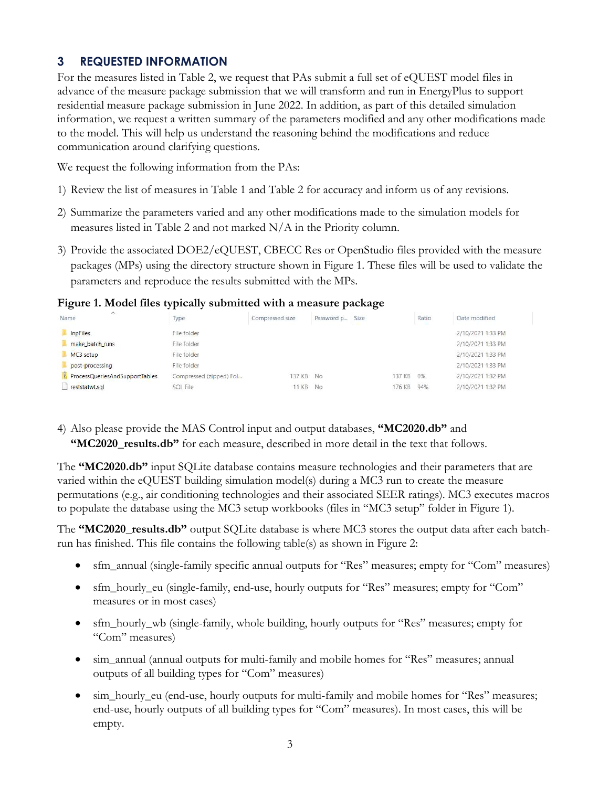# **3 REQUESTED INFORMATION**

For the measures listed in [Table 2,](#page-1-1) we request that PAs submit a full set of eQUEST model files in advance of the measure package submission that we will transform and run in EnergyPlus to support residential measure package submission in June 2022. In addition, as part of this detailed simulation information, we request a written summary of the parameters modified and any other modifications made to the model. This will help us understand the reasoning behind the modifications and reduce communication around clarifying questions.

We request the following information from the PAs:

- 1) Review the list of measures in [Table 1](#page-1-0) and [Table 2](#page-1-1) for accuracy and inform us of any revisions.
- 2) Summarize the parameters varied and any other modifications made to the simulation models for measures listed in [Table 2](#page-1-1) and not marked  $N/A$  in the Priority column.
- 3) Provide the associated DOE2/eQUEST, CBECC Res or OpenStudio files provided with the measure packages (MPs) using the directory structure shown in [Figure 1.](#page-2-0) These files will be used to validate the parameters and reproduce the results submitted with the MPs.

<span id="page-2-0"></span>**Figure 1. Model files typically submitted with a measure package**

| $\wedge$<br>Name               | Type                    | Compressed size | Password p | Size |        | Ratio | Date modified     |
|--------------------------------|-------------------------|-----------------|------------|------|--------|-------|-------------------|
| InpFiles                       | File folder             |                 |            |      |        |       | 2/10/2021 1:33 PM |
| make batch runs                | File folder             |                 |            |      |        |       | 2/10/2021 1:33 PM |
| MC3 setup                      | File folder             |                 |            |      |        |       | 2/10/2021 1:33 PM |
| post-processing                | File folder             |                 |            |      |        |       | 2/10/2021 1:33 PM |
| ProcessQueriesAndSupportTables | Compressed (zipped) Fol | 137 KB          | No         |      | 137 KB | 0%    | 2/10/2021 1:32 PM |
| reststatwt.sql                 | <b>SQL File</b>         | 11 KB           | No         |      | 176 KB | 94%   | 2/10/2021 1:32 PM |

4) Also please provide the MAS Control input and output databases, **"MC2020.db"** and **"MC2020** results.db" for each measure, described in more detail in the text that follows.

The **"MC2020.db"** input SQLite database contains measure technologies and their parameters that are varied within the eQUEST building simulation model(s) during a MC3 run to create the measure permutations (e.g., air conditioning technologies and their associated SEER ratings). MC3 executes macros to populate the database using the MC3 setup workbooks (files in "MC3 setup" folder in [Figure 1\)](#page-2-0).

The **"MC2020\_results.db"** output SQLite database is where MC3 stores the output data after each batchrun has finished. This file contains the following table(s) as shown in [Figure 2:](#page-3-0)

- sfm\_annual (single-family specific annual outputs for "Res" measures; empty for "Com" measures)
- sfm\_hourly\_eu (single-family, end-use, hourly outputs for "Res" measures; empty for "Com" measures or in most cases)
- sfm\_hourly\_wb (single-family, whole building, hourly outputs for "Res" measures; empty for "Com" measures)
- sim\_annual (annual outputs for multi-family and mobile homes for "Res" measures; annual outputs of all building types for "Com" measures)
- sim\_hourly\_eu (end-use, hourly outputs for multi-family and mobile homes for "Res" measures; end-use, hourly outputs of all building types for "Com" measures). In most cases, this will be empty.